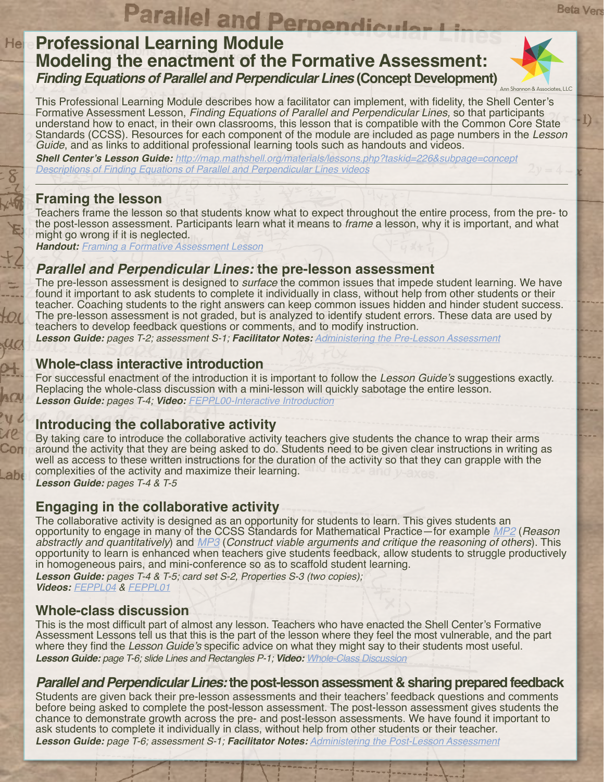# **Parallel and Perpendicular I**<br>Professional Learning Module **Modeling the enactment of the Formative Assessment: Finding Equations of Parallel and Perpendicular Lines (Concept Development)**



**Beta Vers** 

I).

This Professional Learning Module describes how a facilitator can implement, with fidelity, the Shell Center's Formative Assessment Lesson, *Finding Equations of Parallel and Perpendicular Lines,* so that participants understand how to enact, in their own classrooms, this lesson that is compatible with the Common Core State Standards (CCSS). Resources for each component of the module are included as page numbers in the *Lesson Guide*, and as links to additional professional learning tools such as handouts and videos.

**Shell Center's Lesson Guide:** *http://map.mathshell.org/materials/lessons.php?taskid=226&subpage=concept [Descriptions of Finding Equations of Parallel and Perpendicular Lines videos](http://collegeready.gatesfoundation.org/Portals/0/Documents/Video%20Descriptions/FEPPL_VideoDescriptionsQuestions.pdf)*

#### **Framing the lesson**

Hel

Con

 $Lab6$ 

Teachers frame the lesson so that students know what to expect throughout the entire process, from the pre- to the post-lesson assessment. Participants learn what it means to *frame* a lesson, why it is important, and what might go wrong if it is neglected.

**Handout:** *[Framing a Formative Assessment Lesson](http://collegeready.gatesfoundation.org/portals/0/documents/facilitator%20guides%20supporting%20documentation/framing/Framing_Any_Lesson.pdf)*

# **Parallel and Perpendicular Lines: the pre-lesson assessment**

The pre-lesson assessment is designed to *surface* the common issues that impede student learning. We have found it important to ask students to complete it individually in class, without help from other students or their teacher. Coaching students to the right answers can keep common issues hidden and hinder student success. The pre-lesson assessment is not graded, but is analyzed to identify student errors. These data are used by teachers to develop feedback questions or comments, and to modify instruction.

**Lesson Guide:** *pages T-2; assessment S-1;* **Facilitator Notes:** *[Administering the Pre-Lesson Assessment](http://collegeready.gatesfoundation.org/portals/0/documents/facilitator%20guides%20supporting%20documentation/general%20files/Administering%20the%20Pre-lesson%20Assessment-02-THS.pdf)*

# **Whole-class interactive introduction**

For successful enactment of the introduction it is important to follow the Lesson Guide's suggestions exactly. Replacing the whole-class discussion with a mini-lesson will quickly sabotage the entire lesson. **Lesson Guide:** *pages T-4;* **Video:** *[FEPPL00-Interactive Introduction](http://vimeo.com/73421057)*

# **Introducing the collaborative activity**

By taking care to introduce the collaborative activity teachers give students the chance to wrap their arms around the activity that they are being asked to do. Students need to be given clear instructions in writing as well as access to these written instructions for the duration of the activity so that they can grapple with the complexities of the activity and maximize their learning.

**Lesson Guide:** *pages T-4 & T-5*

# **Engaging in the collaborative activity**

The collaborative activity is designed as an opportunity for students to learn. This gives students an opportunity to engage in many of the CCSS Standards for Mathematical Practice—for example *[MP2](http://www.corestandards.org/Math/Practice/MP2)* (*Reason abstractly and quantitatively*) and *[MP3](http://www.corestandards.org/Math/Practice/MP3)* (*Construct viable arguments and critique the reasoning of others*). This opportunity to learn is enhanced when teachers give students feedback, allow students to struggle productively in homogeneous pairs, and mini-conference so as to scaffold student learning.

**Lesson Guide:** *pages T-4 & T-5; card set S-2, Properties S-3 (two copies);*  **Videos:** *[FEPPL04](http://vimeo.com/73421063) & [FEPPL01](http://vimeo.com/73421060)*

# **Whole-class discussion**

This is the most difficult part of almost any lesson. Teachers who have enacted the Shell Center's Formative Assessment Lessons tell us that this is the part of the lesson where they feel the most vulnerable, and the part where they find the Lesson Guide's specific advice on what they might say to their students most useful. **Lesson Guide:** *page T-6; slide Lines and Rectangles P-1;* **Video:** *[Whole-Class Discussion](http://vimeo.com/73704141)*

# **Parallel and Perpendicular Lines: the post-lesson assessment & sharing prepared feedback**

Students are given back their pre-lesson assessments and their teachers' feedback questions and comments before being asked to complete the post-lesson assessment. The post-lesson assessment gives students the chance to demonstrate growth across the pre- and post-lesson assessments. We have found it important to ask students to complete it individually in class, without help from other students or their teacher. **Lesson Guide:** *page T-6; assessment S-1;* **Facilitator Notes:** *[Administering the Post-Lesson Assessment](http://collegeready.gatesfoundation.org/portals/0/documents/facilitator%20guides%20supporting%20documentation/general%20files/Administering%20the%20Post-lesson%20Assessment-02-THS.pdf)*